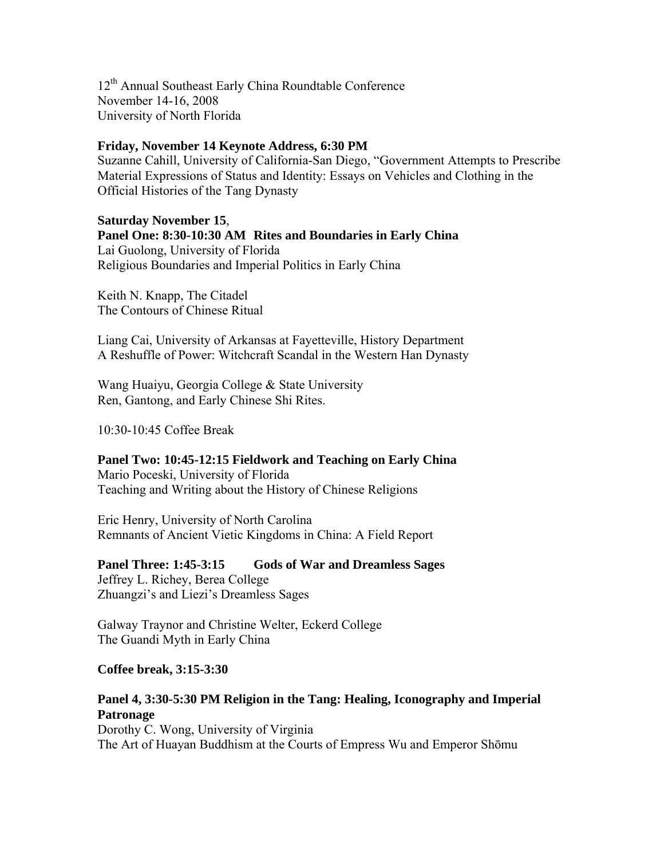12<sup>th</sup> Annual Southeast Early China Roundtable Conference November 14-16, 2008 University of North Florida

## **Friday, November 14 Keynote Address, 6:30 PM**

Suzanne Cahill, University of California-San Diego, "Government Attempts to Prescribe Material Expressions of Status and Identity: Essays on Vehicles and Clothing in the Official Histories of the Tang Dynasty

## **Saturday November 15**,

**Panel One: 8:30-10:30 AM Rites and Boundaries in Early China**  Lai Guolong, University of Florida Religious Boundaries and Imperial Politics in Early China

Keith N. Knapp, The Citadel The Contours of Chinese Ritual

Liang Cai, University of Arkansas at Fayetteville, History Department A Reshuffle of Power: Witchcraft Scandal in the Western Han Dynasty

Wang Huaiyu, Georgia College & State University Ren, Gantong, and Early Chinese Shi Rites.

10:30-10:45 Coffee Break

**Panel Two: 10:45-12:15 Fieldwork and Teaching on Early China**  Mario Poceski, University of Florida Teaching and Writing about the History of Chinese Religions

Eric Henry, University of North Carolina Remnants of Ancient Vietic Kingdoms in China: A Field Report

**Panel Three: 1:45-3:15 Gods of War and Dreamless Sages**  Jeffrey L. Richey, Berea College Zhuangzi's and Liezi's Dreamless Sages

Galway Traynor and Christine Welter, Eckerd College The Guandi Myth in Early China

**Coffee break, 3:15-3:30** 

## **Panel 4, 3:30-5:30 PM Religion in the Tang: Healing, Iconography and Imperial Patronage**

Dorothy C. Wong, University of Virginia The Art of Huayan Buddhism at the Courts of Empress Wu and Emperor Shōmu